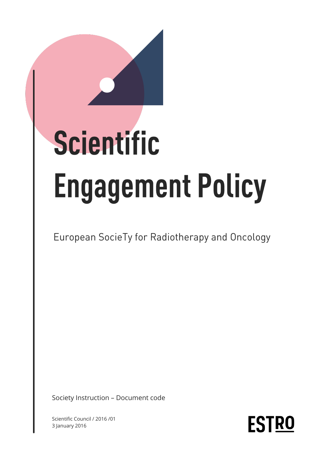# Scientific **Engagement Policy**

European SocieTy for Radiotherapy and Oncology

Society Instruction – Document code

Scientific Council / 2016 /01 3 January 2016

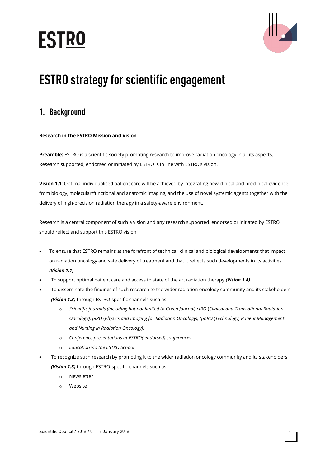# **ESTRO**



# **ESTRO strategy for scientific engagement**

# 1. Background

## **Research in the ESTRO Mission and Vision**

**Preamble:** ESTRO is a scientific society promoting research to improve radiation oncology in all its aspects. Research supported, endorsed or initiated by ESTRO is in line with ESTRO's vision.

**Vision 1.1**: Optimal individualised patient care will be achieved by integrating new clinical and preclinical evidence from biology, molecular/functional and anatomic imaging, and the use of novel systemic agents together with the delivery of high-precision radiation therapy in a safety-aware environment.

Research is a central component of such a vision and any research supported, endorsed or initiated by ESTRO should reflect and support this ESTRO vision:

- To ensure that ESTRO remains at the forefront of technical, clinical and biological developments that impact on radiation oncology and safe delivery of treatment and that it reflects such developments in its activities *(Vision 1.1)*
- To support optimal patient care and access to state of the art radiation therapy *(Vision 1.4)*
- To disseminate the findings of such research to the wider radiation oncology community and its stakeholders *(Vision 1.3)* through ESTRO-specific channels such as:
	- o *Scientific journals (including but not limited to Green Journal, ctRO* (*Clinical and Translational Radiation Oncology), piRO* (*Physics and Imaging for Radiation Oncology), tpnRO* (*Technology, Patient Management and Nursing in Radiation Oncology))*
	- o *Conference presentations at ESTRO(-endorsed) conferences*
	- o *Education via the ESTRO School*
- To recognize such research by promoting it to the wider radiation oncology community and its stakeholders *(Vision 1.3)* through ESTRO-specific channels such as:
	- o Newsletter
	- Website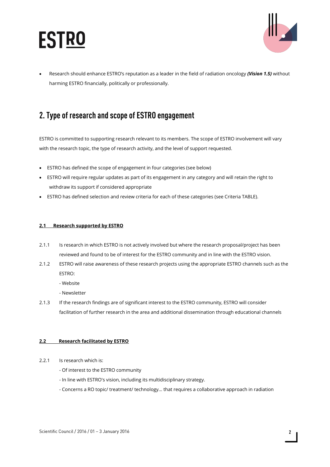



• Research should enhance ESTRO's reputation as a leader in the field of radiation oncology *(Vision 1.5)* without harming ESTRO financially, politically or professionally.

# 2. Type of research and scope of ESTRO engagement

ESTRO is committed to supporting research relevant to its members. The scope of ESTRO involvement will vary with the research topic, the type of research activity, and the level of support requested.

- ESTRO has defined the scope of engagement in four categories (see below)
- ESTRO will require regular updates as part of its engagement in any category and will retain the right to withdraw its support if considered appropriate
- ESTRO has defined selection and review criteria for each of these categories (see Criteria TABLE).

#### **2.1 Research supported by ESTRO**

- 2.1.1 Is research in which ESTRO is not actively involved but where the research proposal/project has been reviewed and found to be of interest for the ESTRO community and in line with the ESTRO vision.
- 2.1.2 ESTRO will raise awareness of these research projects using the appropriate ESTRO channels such as the ESTRO:
	- Website
	- Newsletter
- 2.1.3 If the research findings are of significant interest to the ESTRO community, ESTRO will consider facilitation of further research in the area and additional dissemination through educational channels

#### **2.2 Research facilitated by ESTRO**

- 2.2.1 Is research which is:
	- Of interest to the ESTRO community
	- In line with ESTRO's vision, including its multidisciplinary strategy.
	- Concerns a RO topic/ treatment/ technology… that requires a collaborative approach in radiation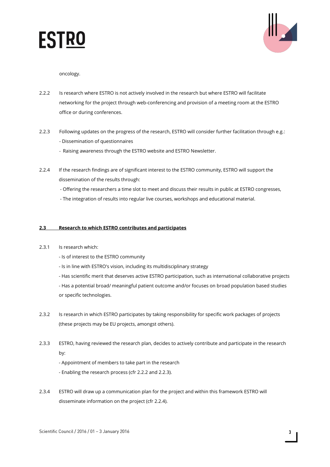



oncology.

- 2.2.2 Is research where ESTRO is not actively involved in the research but where ESTRO will facilitate networking for the project through web-conferencing and provision of a meeting room at the ESTRO office or during conferences.
- 2.2.3 Following updates on the progress of the research, ESTRO will consider further facilitation through e.g.: - Dissemination of questionnaires
	- Raising awareness through the ESTRO website and ESTRO Newsletter.
- 2.2.4 If the research findings are of significant interest to the ESTRO community, ESTRO will support the dissemination of the results through:
	- Offering the researchers a time slot to meet and discuss their results in public at ESTRO congresses,
	- The integration of results into regular live courses, workshops and educational material.

### **2.3 Research to which ESTRO contributes and participates**

- 2.3.1 Is research which:
	- Is of interest to the ESTRO community
	- Is in line with ESTRO's vision, including its multidisciplinary strategy
	- Has scientific merit that deserves active ESTRO participation, such as international collaborative projects
	- Has a potential broad/ meaningful patient outcome and/or focuses on broad population based studies or specific technologies.
- 2.3.2 Is research in which ESTRO participates by taking responsibility for specific work packages of projects (these projects may be EU projects, amongst others).
- 2.3.3 ESTRO, having reviewed the research plan, decides to actively contribute and participate in the research by:
	- Appointment of members to take part in the research
	- Enabling the research process (cfr 2.2.2 and 2.2.3).
- 2.3.4 ESTRO will draw up a communication plan for the project and within this framework ESTRO will disseminate information on the project (cfr 2.2.4).